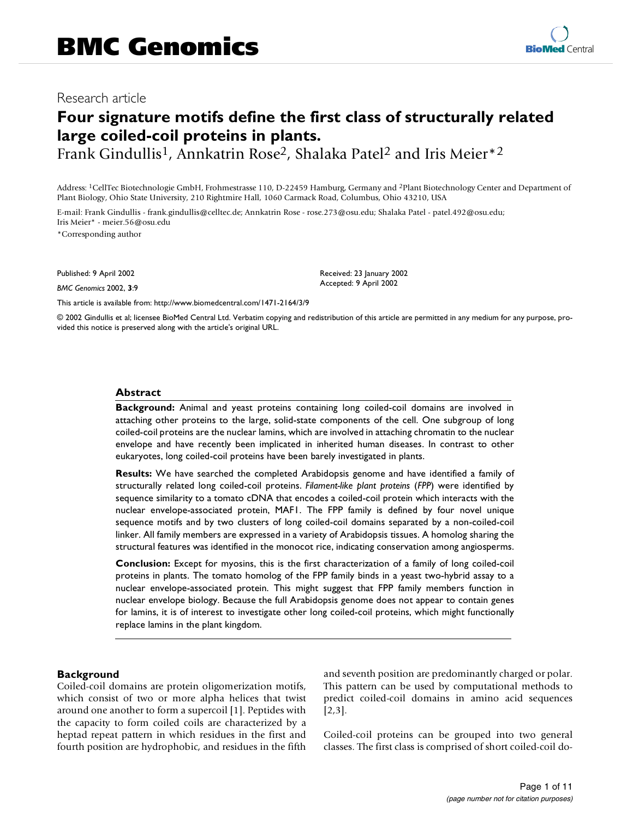# Research article

# **Four signature motifs define the first class of structurally related large coiled-coil proteins in plants.**

Frank Gindullis<sup>1</sup>, Annkatrin Rose<sup>2</sup>, Shalaka Patel<sup>2</sup> and Iris Meier<sup>\*2</sup>

Address: 1CellTec Biotechnologie GmbH, Frohmestrasse 110, D-22459 Hamburg, Germany and 2Plant Biotechnology Center and Department of Plant Biology, Ohio State University, 210 Rightmire Hall, 1060 Carmack Road, Columbus, Ohio 43210, USA

E-mail: Frank Gindullis - frank.gindullis@celltec.de; Annkatrin Rose - rose.273@osu.edu; Shalaka Patel - patel.492@osu.edu; Iris Meier\* - meier.56@osu.edu

\*Corresponding author

Published: 9 April 2002

*BMC Genomics* 2002, **3**:9

[This article is available from: http://www.biomedcentral.com/1471-2164/3/9](http://www.biomedcentral.com/1471-2164/3/9)

Received: 23 January 2002 Accepted: 9 April 2002

© 2002 Gindullis et al; licensee BioMed Central Ltd. Verbatim copying and redistribution of this article are permitted in any medium for any purpose, provided this notice is preserved along with the article's original URL.

#### **Abstract**

**Background:** Animal and yeast proteins containing long coiled-coil domains are involved in attaching other proteins to the large, solid-state components of the cell. One subgroup of long coiled-coil proteins are the nuclear lamins, which are involved in attaching chromatin to the nuclear envelope and have recently been implicated in inherited human diseases. In contrast to other eukaryotes, long coiled-coil proteins have been barely investigated in plants.

**Results:** We have searched the completed Arabidopsis genome and have identified a family of structurally related long coiled-coil proteins. *Filament-like plant proteins* (*FPP*) were identified by sequence similarity to a tomato cDNA that encodes a coiled-coil protein which interacts with the nuclear envelope-associated protein, MAF1. The FPP family is defined by four novel unique sequence motifs and by two clusters of long coiled-coil domains separated by a non-coiled-coil linker. All family members are expressed in a variety of Arabidopsis tissues. A homolog sharing the structural features was identified in the monocot rice, indicating conservation among angiosperms.

**Conclusion:** Except for myosins, this is the first characterization of a family of long coiled-coil proteins in plants. The tomato homolog of the FPP family binds in a yeast two-hybrid assay to a nuclear envelope-associated protein. This might suggest that FPP family members function in nuclear envelope biology. Because the full Arabidopsis genome does not appear to contain genes for lamins, it is of interest to investigate other long coiled-coil proteins, which might functionally replace lamins in the plant kingdom.

#### **Background**

Coiled-coil domains are protein oligomerization motifs, which consist of two or more alpha helices that twist around one another to form a supercoil [1]. Peptides with the capacity to form coiled coils are characterized by a heptad repeat pattern in which residues in the first and fourth position are hydrophobic, and residues in the fifth

and seventh position are predominantly charged or polar. This pattern can be used by computational methods to predict coiled-coil domains in amino acid sequences [2,3].

Coiled-coil proteins can be grouped into two general classes. The first class is comprised of short coiled-coil do-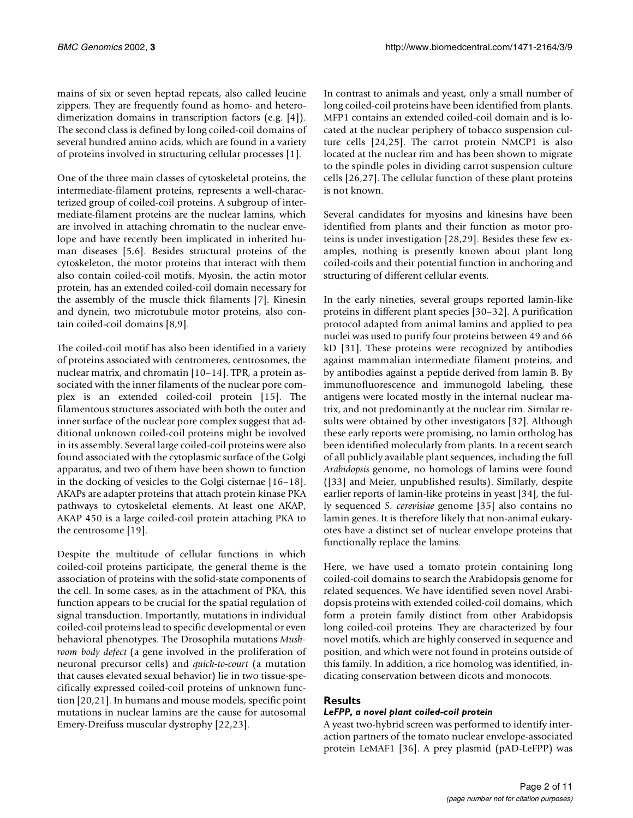mains of six or seven heptad repeats, also called leucine zippers. They are frequently found as homo- and heterodimerization domains in transcription factors (e.g. [4]). The second class is defined by long coiled-coil domains of several hundred amino acids, which are found in a variety of proteins involved in structuring cellular processes [1].

One of the three main classes of cytoskeletal proteins, the intermediate-filament proteins, represents a well-characterized group of coiled-coil proteins. A subgroup of intermediate-filament proteins are the nuclear lamins, which are involved in attaching chromatin to the nuclear envelope and have recently been implicated in inherited human diseases [5,6]. Besides structural proteins of the cytoskeleton, the motor proteins that interact with them also contain coiled-coil motifs. Myosin, the actin motor protein, has an extended coiled-coil domain necessary for the assembly of the muscle thick filaments [7]. Kinesin and dynein, two microtubule motor proteins, also contain coiled-coil domains [8,9].

The coiled-coil motif has also been identified in a variety of proteins associated with centromeres, centrosomes, the nuclear matrix, and chromatin [10–14]. TPR, a protein associated with the inner filaments of the nuclear pore complex is an extended coiled-coil protein [15]. The filamentous structures associated with both the outer and inner surface of the nuclear pore complex suggest that additional unknown coiled-coil proteins might be involved in its assembly. Several large coiled-coil proteins were also found associated with the cytoplasmic surface of the Golgi apparatus, and two of them have been shown to function in the docking of vesicles to the Golgi cisternae [16–18]. AKAPs are adapter proteins that attach protein kinase PKA pathways to cytoskeletal elements. At least one AKAP, AKAP 450 is a large coiled-coil protein attaching PKA to the centrosome [19].

Despite the multitude of cellular functions in which coiled-coil proteins participate, the general theme is the association of proteins with the solid-state components of the cell. In some cases, as in the attachment of PKA, this function appears to be crucial for the spatial regulation of signal transduction. Importantly, mutations in individual coiled-coil proteins lead to specific developmental or even behavioral phenotypes. The Drosophila mutations *Mushroom body defect* (a gene involved in the proliferation of neuronal precursor cells) and *quick-to-court* (a mutation that causes elevated sexual behavior) lie in two tissue-specifically expressed coiled-coil proteins of unknown function [20,21]. In humans and mouse models, specific point mutations in nuclear lamins are the cause for autosomal Emery-Dreifuss muscular dystrophy [22,23].

In contrast to animals and yeast, only a small number of long coiled-coil proteins have been identified from plants. MFP1 contains an extended coiled-coil domain and is located at the nuclear periphery of tobacco suspension culture cells [24,25]. The carrot protein NMCP1 is also located at the nuclear rim and has been shown to migrate to the spindle poles in dividing carrot suspension culture cells [26,27]. The cellular function of these plant proteins is not known.

Several candidates for myosins and kinesins have been identified from plants and their function as motor proteins is under investigation [28,29]. Besides these few examples, nothing is presently known about plant long coiled-coils and their potential function in anchoring and structuring of different cellular events.

In the early nineties, several groups reported lamin-like proteins in different plant species [30–32]. A purification protocol adapted from animal lamins and applied to pea nuclei was used to purify four proteins between 49 and 66 kD [31]. These proteins were recognized by antibodies against mammalian intermediate filament proteins, and by antibodies against a peptide derived from lamin B. By immunofluorescence and immunogold labeling, these antigens were located mostly in the internal nuclear matrix, and not predominantly at the nuclear rim. Similar results were obtained by other investigators [32]. Although these early reports were promising, no lamin ortholog has been identified molecularly from plants. In a recent search of all publicly available plant sequences, including the full *Arabidopsis* genome, no homologs of lamins were found ([33] and Meier, unpublished results). Similarly, despite earlier reports of lamin-like proteins in yeast [34], the fully sequenced *S. cerevisiae* genome [35] also contains no lamin genes. It is therefore likely that non-animal eukaryotes have a distinct set of nuclear envelope proteins that functionally replace the lamins.

Here, we have used a tomato protein containing long coiled-coil domains to search the Arabidopsis genome for related sequences. We have identified seven novel Arabidopsis proteins with extended coiled-coil domains, which form a protein family distinct from other Arabidopsis long coiled-coil proteins. They are characterized by four novel motifs, which are highly conserved in sequence and position, and which were not found in proteins outside of this family. In addition, a rice homolog was identified, indicating conservation between dicots and monocots.

# **Results**

# *LeFPP, a novel plant coiled-coil protein*

A yeast two-hybrid screen was performed to identify interaction partners of the tomato nuclear envelope-associated protein LeMAF1 [36]. A prey plasmid (pAD-LeFPP) was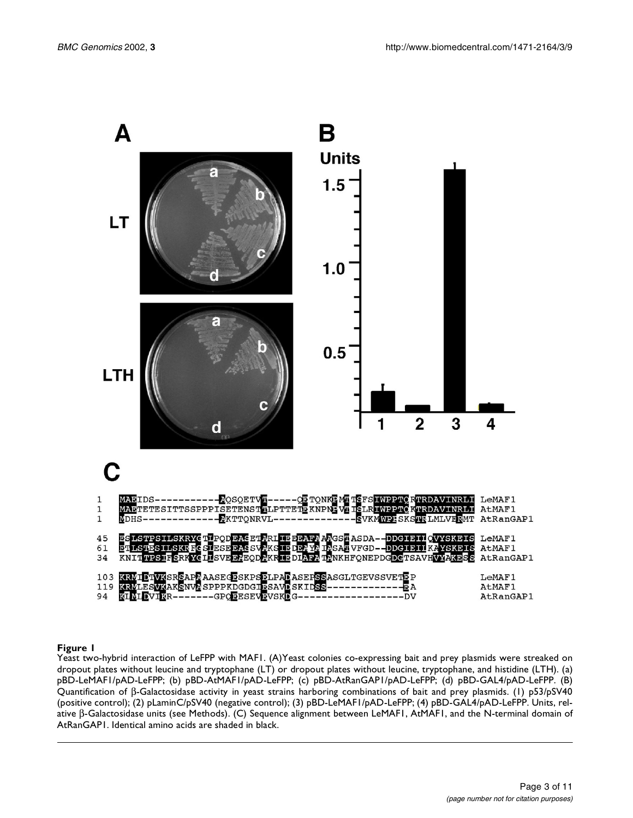

Yeast two-hybrid interaction of LeFPP with MAF1. (A)Yeast colonies co-expressing bait and prey plasmids were streaked on dropout plates without leucine and tryptophane (LT) or dropout plates without leucine, tryptophane, and histidine (LTH). (a) pBD-LeMAF1/pAD-LeFPP; (b) pBD-AtMAF1/pAD-LeFPP; (c) pBD-AtRanGAP1/pAD-LeFPP; (d) pBD-GAL4/pAD-LeFPP. (B) Quantification of β-Galactosidase activity in yeast strains harboring combinations of bait and prey plasmids. (1) p53/pSV40 (positive control); (2) pLaminC/pSV40 (negative control); (3) pBD-LeMAF1/pAD-LeFPP; (4) pBD-GAL4/pAD-LeFPP. Units, relative β-Galactosidase units (see Methods). (C) Sequence alignment between LeMAF1, AtMAF1, and the N-terminal domain of AtRanGAP1. Identical amino acids are shaded in black.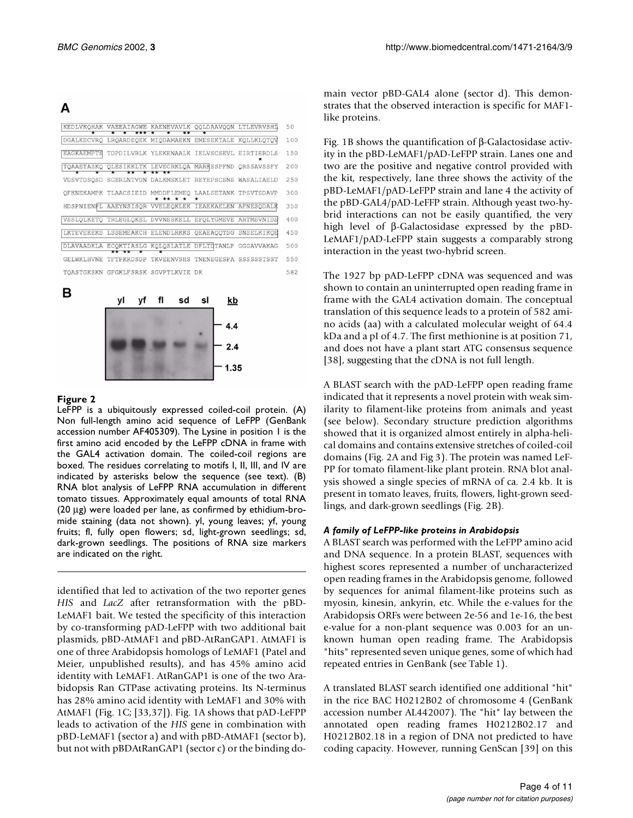# A

|                                     |  |   |       | KEDLVKQHAK VAEEAIAGWE KAENEVAVLK QQLDAAVQQN LTLEVRVSHI |  |
|-------------------------------------|--|---|-------|--------------------------------------------------------|--|
|                                     |  | Ŧ | $*$ * | Ŧ                                                      |  |
|                                     |  |   |       | DGALKECVRO LROARDEOEK MIODAMAEKN EMESEKTALE KOLLKLOTOV |  |
| <b>EAGKAEMPTS</b>                   |  |   |       | TDPDILVRLK YLEKENAALK IELVSCSEVL EIRTIERDLS            |  |
|                                     |  |   |       | TQAAETASKQ QLESIKKLTK LEVECRKLQA MARKSSPFND QRSSAVSSFY |  |
|                                     |  |   |       | VDSVTDSOSD SGERLNTVDN DALKMSKLET REYEPSCSNS WASALIAELD |  |
|                                     |  |   |       | OFKNEKAMPK TLAACSIEID MMDDFLEMEO LAALSETANK TPSVTSDAVP |  |
|                                     |  |   |       | HDSPNIENPL AAEYNSISQR VVELEQKLEK IEAEKAELEN AFNESQDALK |  |
|                                     |  |   |       | VSSLQLKETQ TRLEGLQKEL DVVNESKELL EFQLYGMEVE ARTMSVNIDS |  |
|                                     |  |   |       | LKTEVEKEKS LSSEMEAKCH ELENDLRKKS QEAEAQQTSG SNSELKIKQE |  |
|                                     |  |   |       | DLAVAADKLA ECQKTIASLG KQLQSLATLE DFLTDTANLP GGGAVVAKAG |  |
|                                     |  |   |       | GELWKLHVNE TFTPKRDSDP TKVEENVSHS TNENEGESPA SSSSSSTSST |  |
| TOASTGKSKN GFGKLFSRSK SGVPTLKVIE DK |  |   |       |                                                        |  |



## **Figure 2**

в

LeFPP is a ubiquitously expressed coiled-coil protein. (A) Non full-length amino acid sequence of LeFPP (GenBank accession number AF405309). The Lysine in position 1 is the first amino acid encoded by the LeFPP cDNA in frame with the GAL4 activation domain. The coiled-coil regions are boxed. The residues correlating to motifs I, II, III, and IV are indicated by asterisks below the sequence (see text). (B) RNA blot analysis of LeFPP RNA accumulation in different tomato tissues. Approximately equal amounts of total RNA (20 µg) were loaded per lane, as confirmed by ethidium-bromide staining (data not shown). yl, young leaves; yf, young fruits; fl, fully open flowers; sd, light-grown seedlings; sd, dark-grown seedlings. The positions of RNA size markers are indicated on the right.

identified that led to activation of the two reporter genes *HIS* and *LacZ* after retransformation with the pBD-LeMAF1 bait. We tested the specificity of this interaction by co-transforming pAD-LeFPP with two additional bait plasmids, pBD-AtMAF1 and pBD-AtRanGAP1. AtMAF1 is one of three Arabidopsis homologs of LeMAF1 (Patel and Meier, unpublished results), and has 45% amino acid identity with LeMAF1. AtRanGAP1 is one of the two Arabidopsis Ran GTPase activating proteins. Its N-terminus has 28% amino acid identity with LeMAF1 and 30% with AtMAF1 (Fig. 1C; [33,37]). Fig. 1A shows that pAD-LeFPP leads to activation of the *HIS* gene in combination with pBD-LeMAF1 (sector a) and with pBD-AtMAF1 (sector b), but not with pBDAtRanGAP1 (sector c) or the binding domain vector pBD-GAL4 alone (sector d). This demonstrates that the observed interaction is specific for MAF1 like proteins.

Fig. 1B shows the quantification of β-Galactosidase activity in the pBD-LeMAF1/pAD-LeFPP strain. Lanes one and two are the positive and negative control provided with the kit, respectively, lane three shows the activity of the pBD-LeMAF1/pAD-LeFPP strain and lane 4 the activity of the pBD-GAL4/pAD-LeFFP strain. Although yeast two-hybrid interactions can not be easily quantified, the very high level of β-Galactosidase expressed by the pBD-LeMAF1/pAD-LeFPP stain suggests a comparably strong interaction in the yeast two-hybrid screen.

The 1927 bp pAD-LeFPP cDNA was sequenced and was shown to contain an uninterrupted open reading frame in frame with the GAL4 activation domain. The conceptual translation of this sequence leads to a protein of 582 amino acids (aa) with a calculated molecular weight of 64.4 kDa and a pI of 4.7. The first methionine is at position 71, and does not have a plant start ATG consensus sequence [38], suggesting that the cDNA is not full length.

<span id="page-3-0"></span>A BLAST search with the pAD-LeFPP open reading frame indicated that it represents a novel protein with weak similarity to filament-like proteins from animals and yeast (see below). Secondary structure prediction algorithms showed that it is organized almost entirely in alpha-helical domains and contains extensive stretches of coiled-coil domains (Fig. 2A and Fig [3\)](#page-5-0). The protein was named LeF-PP for tomato filament-like plant protein. RNA blot analysis showed a single species of mRNA of ca. 2.4 kb. It is present in tomato leaves, fruits, flowers, light-grown seedlings, and dark-grown seedlings (Fig. 2B).

## *A family of LeFPP-like proteins in Arabidopsis*

A BLAST search was performed with the LeFPP amino acid and DNA sequence. In a protein BLAST, sequences with highest scores represented a number of uncharacterized open reading frames in the Arabidopsis genome, followed by sequences for animal filament-like proteins such as myosin, kinesin, ankyrin, etc. While the e-values for the Arabidopsis ORFs were between 2e-56 and 1e-16, the best e-value for a non-plant sequence was 0.003 for an unknown human open reading frame. The Arabidopsis "hits" represented seven unique genes, some of which had repeated entries in GenBank (see Table [1\)](#page-3-0).

A translated BLAST search identified one additional "hit" in the rice BAC H0212B02 of chromosome 4 (GenBank accession number AL442007). The "hit" lay between the annotated open reading frames H0212B02.17 and H0212B02.18 in a region of DNA not predicted to have coding capacity. However, running GenScan [39] on this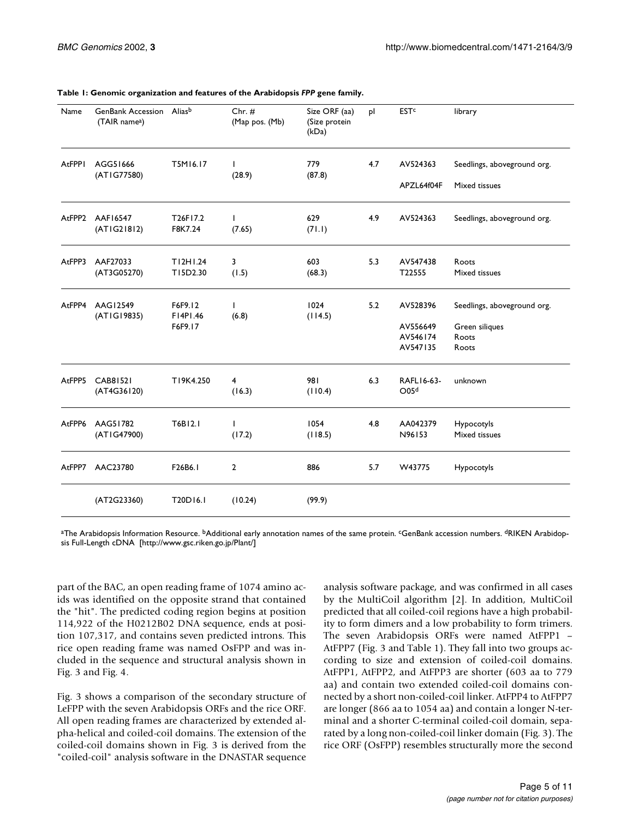| Name   | <b>GenBank Accession</b><br>(TAIR name <sup>a</sup> ) | Aliasb               | Chr. #<br>(Map pos. (Mb) | Size ORF (aa)<br>(Size protein<br>(kDa) | pl  | <b>EST<sup>c</sup></b>         | library                     |
|--------|-------------------------------------------------------|----------------------|--------------------------|-----------------------------------------|-----|--------------------------------|-----------------------------|
| AtFPPI | AGG51666<br>(ATIG77580)                               | T5M16.17             | $\mathbf{I}$<br>(28.9)   | 779<br>(87.8)                           | 4.7 | AV524363                       | Seedlings, aboveground org. |
|        |                                                       |                      |                          |                                         |     | APZL64f04F                     | Mixed tissues               |
|        | AtFPP2 AAF16547<br>(ATIG21812)                        | T26F17.2<br>F8K7.24  | ı<br>(7.65)              | 629<br>(71.1)                           | 4.9 | AV524363                       | Seedlings, aboveground org. |
| AtFPP3 | AAF27033<br>(AT3G05270)                               | T12H1.24<br>T15D2.30 | 3<br>(1.5)               | 603<br>(68.3)                           | 5.3 | AV547438<br>T22555             | Roots<br>Mixed tissues      |
| AtFPP4 | AAG12549<br>(ATIG19835)                               | F6F9.12<br>F14P1.46  | ı<br>(6.8)               | 1024<br>(114.5)                         | 5.2 | AV528396                       | Seedlings, aboveground org. |
|        |                                                       | F6F9.17              |                          |                                         |     | AV556649                       | Green siliques              |
|        |                                                       |                      |                          |                                         |     | AV546174<br>AV547135           | Roots<br>Roots              |
| AtFPP5 | <b>CAB81521</b><br>(AT4G36120)                        | T19K4.250            | 4<br>(16.3)              | 981<br>(110.4)                          | 6.3 | RAFL16-63-<br>O05 <sup>d</sup> | unknown                     |
| AtFPP6 | AAG51782<br>(ATIG47900)                               | T6B12.1              | ı<br>(17.2)              | 1054<br>(118.5)                         | 4.8 | AA042379<br>N96153             | Hypocotyls<br>Mixed tissues |
|        | AtFPP7 AAC23780                                       | F26B6.1              | $\overline{2}$           | 886                                     | 5.7 | W43775                         | Hypocotyls                  |
|        | (AT2G23360)                                           | T20D16.1             | (10.24)                  | (99.9)                                  |     |                                |                             |

#### **Table 1: Genomic organization and features of the Arabidopsis** *FPP* **gene family.**

aThe Arabidopsis Information Resource. <sup>b</sup>Additional early annotation names of the same protein. <sup>c</sup>GenBank accession numbers. <sup>d</sup>[RIKEN Arabidop](http://www.gsc.riken.go.jp/Plant/)[sis Full-Length cDNA \[http://www.gsc.riken.go.jp/Plant/\]](http://www.gsc.riken.go.jp/Plant/) 

part of the BAC, an open reading frame of 1074 amino acids was identified on the opposite strand that contained the "hit". The predicted coding region begins at position 114,922 of the H0212B02 DNA sequence, ends at position 107,317, and contains seven predicted introns. This rice open reading frame was named OsFPP and was included in the sequence and structural analysis shown in Fig. [3](#page-5-0) and Fig. 4.

Fig. [3](#page-5-0) shows a comparison of the secondary structure of LeFPP with the seven Arabidopsis ORFs and the rice ORF. All open reading frames are characterized by extended alpha-helical and coiled-coil domains. The extension of the coiled-coil domains shown in Fig. [3](#page-5-0) is derived from the "coiled-coil" analysis software in the DNASTAR sequence

analysis software package, and was confirmed in all cases by the MultiCoil algorithm [2]. In addition, MultiCoil predicted that all coiled-coil regions have a high probability to form dimers and a low probability to form trimers. The seven Arabidopsis ORFs were named AtFPP1 – AtFPP7 (Fig. [3](#page-5-0) and Table [1](#page-3-0)). They fall into two groups according to size and extension of coiled-coil domains. AtFPP1, AtFPP2, and AtFPP3 are shorter (603 aa to 779 aa) and contain two extended coiled-coil domains connected by a short non-coiled-coil linker. AtFPP4 to AtFPP7 are longer (866 aa to 1054 aa) and contain a longer N-terminal and a shorter C-terminal coiled-coil domain, separated by a long non-coiled-coil linker domain (Fig. [3](#page-5-0)). The rice ORF (OsFPP) resembles structurally more the second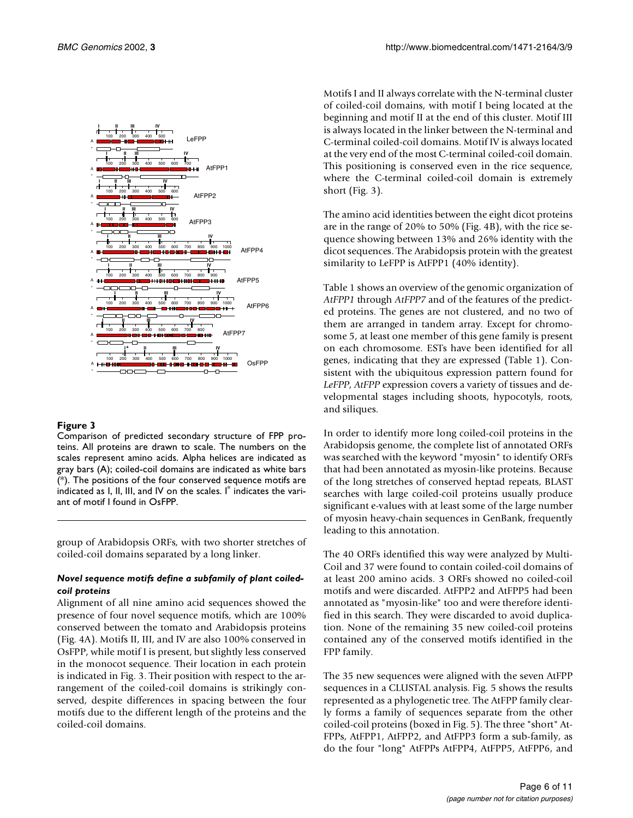

<span id="page-5-0"></span>Comparison of predicted secondary structure of FPP proteins. All proteins are drawn to scale. The numbers on the scales represent amino acids. Alpha helices are indicated as gray bars (A); coiled-coil domains are indicated as white bars (\*). The positions of the four conserved sequence motifs are indicated as I, II, III, and IV on the scales. I\* indicates the variant of motif I found in OsFPP.

group of Arabidopsis ORFs, with two shorter stretches of coiled-coil domains separated by a long linker.

# *Novel sequence motifs define a subfamily of plant coiledcoil proteins*

Alignment of all nine amino acid sequences showed the presence of four novel sequence motifs, which are 100% conserved between the tomato and Arabidopsis proteins (Fig. 4A). Motifs II, III, and IV are also 100% conserved in OsFPP, while motif I is present, but slightly less conserved in the monocot sequence. Their location in each protein is indicated in Fig. [3](#page-5-0). Their position with respect to the arrangement of the coiled-coil domains is strikingly conserved, despite differences in spacing between the four motifs due to the different length of the proteins and the coiled-coil domains.

Motifs I and II always correlate with the N-terminal cluster of coiled-coil domains, with motif I being located at the beginning and motif II at the end of this cluster. Motif III is always located in the linker between the N-terminal and C-terminal coiled-coil domains. Motif IV is always located at the very end of the most C-terminal coiled-coil domain. This positioning is conserved even in the rice sequence, where the C-terminal coiled-coil domain is extremely short (Fig. [3](#page-5-0)).

The amino acid identities between the eight dicot proteins are in the range of 20% to 50% (Fig. 4B), with the rice sequence showing between 13% and 26% identity with the dicot sequences. The Arabidopsis protein with the greatest similarity to LeFPP is AtFPP1 (40% identity).

Table [1](#page-3-0) shows an overview of the genomic organization of *AtFPP1* through *AtFPP7* and of the features of the predicted proteins. The genes are not clustered, and no two of them are arranged in tandem array. Except for chromosome 5, at least one member of this gene family is present on each chromosome. ESTs have been identified for all genes, indicating that they are expressed (Table [1](#page-3-0)). Consistent with the ubiquitous expression pattern found for *LeFPP*, *AtFPP* expression covers a variety of tissues and developmental stages including shoots, hypocotyls, roots, and siliques.

In order to identify more long coiled-coil proteins in the Arabidopsis genome, the complete list of annotated ORFs was searched with the keyword "myosin" to identify ORFs that had been annotated as myosin-like proteins. Because of the long stretches of conserved heptad repeats, BLAST searches with large coiled-coil proteins usually produce significant e-values with at least some of the large number of myosin heavy-chain sequences in GenBank, frequently leading to this annotation.

The 40 ORFs identified this way were analyzed by Multi-Coil and 37 were found to contain coiled-coil domains of at least 200 amino acids. 3 ORFs showed no coiled-coil motifs and were discarded. AtFPP2 and AtFPP5 had been annotated as "myosin-like" too and were therefore identified in this search. They were discarded to avoid duplication. None of the remaining 35 new coiled-coil proteins contained any of the conserved motifs identified in the FPP family.

The 35 new sequences were aligned with the seven AtFPP sequences in a CLUSTAL analysis. Fig. 5 shows the results represented as a phylogenetic tree. The AtFPP family clearly forms a family of sequences separate from the other coiled-coil proteins (boxed in Fig. 5). The three "short" At-FPPs, AtFPP1, AtFPP2, and AtFPP3 form a sub-family, as do the four "long" AtFPPs AtFPP4, AtFPP5, AtFPP6, and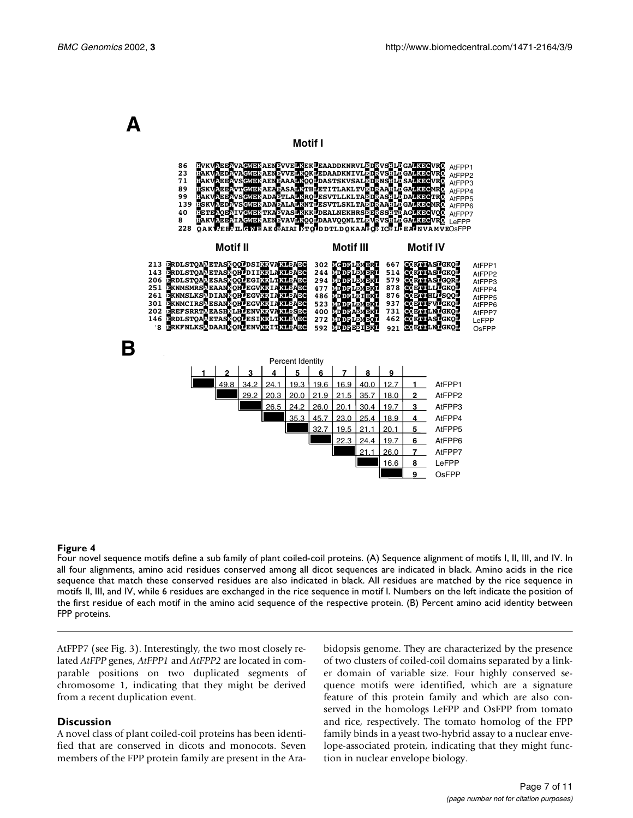

Four novel sequence motifs define a sub family of plant coiled-coil proteins. (A) Sequence alignment of motifs I, II, III, and IV. In all four alignments, amino acid residues conserved among all dicot sequences are indicated in black. Amino acids in the rice sequence that match these conserved residues are also indicated in black. All residues are matched by the rice sequence in motifs II, III, and IV, while 6 residues are exchanged in the rice sequence in motif I. Numbers on the left indicate the position of the first residue of each motif in the amino acid sequence of the respective protein. (B) Percent amino acid identity between FPP proteins.

35.3 45.7 23.0 25.4 18.9 **4** AtFPP4 32.7 19.5 21.1 20.1 **5** AtFPP5 22.3 24.4 19.7 **6** AtFPP6 21.1 26.0 **7** AtFPP7 16.6 **8** LeFPP **9** OsFPP

AtFPP7 (see Fig. [3](#page-5-0)). Interestingly, the two most closely related *AtFPP* genes, *AtFPP1* and *AtFPP2* are located in comparable positions on two duplicated segments of chromosome 1, indicating that they might be derived from a recent duplication event.

#### **Discussion**

A novel class of plant coiled-coil proteins has been identified that are conserved in dicots and monocots. Seven members of the FPP protein family are present in the Arabidopsis genome. They are characterized by the presence of two clusters of coiled-coil domains separated by a linker domain of variable size. Four highly conserved sequence motifs were identified, which are a signature feature of this protein family and which are also conserved in the homologs LeFPP and OsFPP from tomato and rice, respectively. The tomato homolog of the FPP family binds in a yeast two-hybrid assay to a nuclear envelope-associated protein, indicating that they might function in nuclear envelope biology.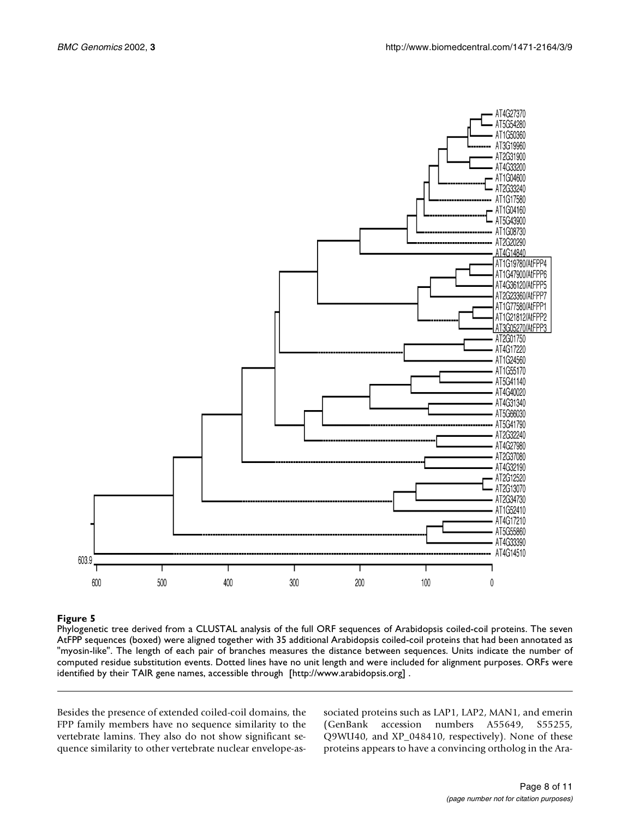

[Phylogenetic tree derived from a CLUSTAL analysis of the full ORF sequences of Arabidopsis coiled-coil proteins. The seven](http://www.arabidopsis.org) AtFPP sequences (boxed) were aligned together with 35 additional Arabidopsis coiled-coil proteins that had been annotated as "myosin-like". The length of each pair of branches measures the distance between sequences. Units indicate the number of computed residue substitution events. Dotted lines have no unit length and were included for alignment purposes. ORFs were identified by their TAIR gene names, accessible through [http://www.arabidopsis.org] .

Besides the presence of extended coiled-coil domains, the FPP family members have no sequence similarity to the vertebrate lamins. They also do not show significant sequence similarity to other vertebrate nuclear envelope-associated proteins such as LAP1, LAP2, MAN1, and emerin (GenBank accession numbers A55649, S55255, Q9WU40, and XP\_048410, respectively). None of these proteins appears to have a convincing ortholog in the Ara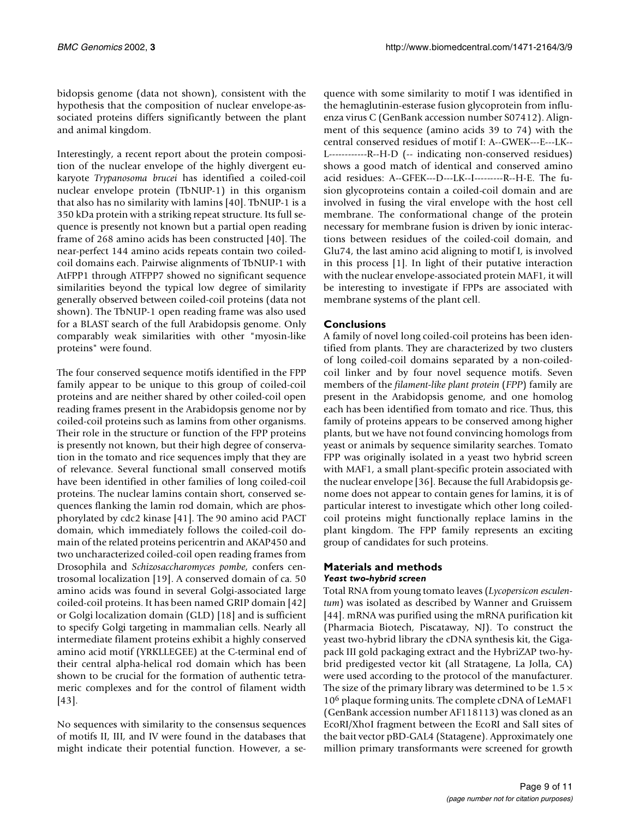bidopsis genome (data not shown), consistent with the hypothesis that the composition of nuclear envelope-associated proteins differs significantly between the plant and animal kingdom.

Interestingly, a recent report about the protein composition of the nuclear envelope of the highly divergent eukaryote *Trypanosoma brucei* has identified a coiled-coil nuclear envelope protein (TbNUP-1) in this organism that also has no similarity with lamins [40]. TbNUP-1 is a 350 kDa protein with a striking repeat structure. Its full sequence is presently not known but a partial open reading frame of 268 amino acids has been constructed [40]. The near-perfect 144 amino acids repeats contain two coiledcoil domains each. Pairwise alignments of TbNUP-1 with AtFPP1 through ATFPP7 showed no significant sequence similarities beyond the typical low degree of similarity generally observed between coiled-coil proteins (data not shown). The TbNUP-1 open reading frame was also used for a BLAST search of the full Arabidopsis genome. Only comparably weak similarities with other "myosin-like proteins" were found.

The four conserved sequence motifs identified in the FPP family appear to be unique to this group of coiled-coil proteins and are neither shared by other coiled-coil open reading frames present in the Arabidopsis genome nor by coiled-coil proteins such as lamins from other organisms. Their role in the structure or function of the FPP proteins is presently not known, but their high degree of conservation in the tomato and rice sequences imply that they are of relevance. Several functional small conserved motifs have been identified in other families of long coiled-coil proteins. The nuclear lamins contain short, conserved sequences flanking the lamin rod domain, which are phosphorylated by cdc2 kinase [41]. The 90 amino acid PACT domain, which immediately follows the coiled-coil domain of the related proteins pericentrin and AKAP450 and two uncharacterized coiled-coil open reading frames from Drosophila and *Schizosaccharomyces pombe*, confers centrosomal localization [19]. A conserved domain of ca. 50 amino acids was found in several Golgi-associated large coiled-coil proteins. It has been named GRIP domain [42] or Golgi localization domain (GLD) [18] and is sufficient to specify Golgi targeting in mammalian cells. Nearly all intermediate filament proteins exhibit a highly conserved amino acid motif (YRKLLEGEE) at the C-terminal end of their central alpha-helical rod domain which has been shown to be crucial for the formation of authentic tetrameric complexes and for the control of filament width [43].

No sequences with similarity to the consensus sequences of motifs II, III, and IV were found in the databases that might indicate their potential function. However, a se-

quence with some similarity to motif I was identified in the hemaglutinin-esterase fusion glycoprotein from influenza virus C (GenBank accession number S07412). Alignment of this sequence (amino acids 39 to 74) with the central conserved residues of motif I: A--GWEK---E---LK-- L------------R--H-D (-- indicating non-conserved residues) shows a good match of identical and conserved amino acid residues: A--GFEK---D---LK--I---------R--H-E. The fusion glycoproteins contain a coiled-coil domain and are involved in fusing the viral envelope with the host cell membrane. The conformational change of the protein necessary for membrane fusion is driven by ionic interactions between residues of the coiled-coil domain, and Glu74, the last amino acid aligning to motif I, is involved in this process [1]. In light of their putative interaction with the nuclear envelope-associated protein MAF1, it will be interesting to investigate if FPPs are associated with membrane systems of the plant cell.

# **Conclusions**

A family of novel long coiled-coil proteins has been identified from plants. They are characterized by two clusters of long coiled-coil domains separated by a non-coiledcoil linker and by four novel sequence motifs. Seven members of the *filament-like plant protein* (*FPP*) family are present in the Arabidopsis genome, and one homolog each has been identified from tomato and rice. Thus, this family of proteins appears to be conserved among higher plants, but we have not found convincing homologs from yeast or animals by sequence similarity searches. Tomato FPP was originally isolated in a yeast two hybrid screen with MAF1, a small plant-specific protein associated with the nuclear envelope [36]. Because the full Arabidopsis genome does not appear to contain genes for lamins, it is of particular interest to investigate which other long coiledcoil proteins might functionally replace lamins in the plant kingdom. The FPP family represents an exciting group of candidates for such proteins.

# **Materials and methods** *Yeast two-hybrid screen*

Total RNA from young tomato leaves (*Lycopersicon esculentum*) was isolated as described by Wanner and Gruissem [44]. mRNA was purified using the mRNA purification kit (Pharmacia Biotech, Piscataway, NJ). To construct the yeast two-hybrid library the cDNA synthesis kit, the Gigapack III gold packaging extract and the HybriZAP two-hybrid predigested vector kit (all Stratagene, La Jolla, CA) were used according to the protocol of the manufacturer. The size of the primary library was determined to be  $1.5 \times$ 10<sup>6</sup> plaque forming units. The complete cDNA of LeMAF1 (GenBank accession number AF118113) was cloned as an EcoRI/XhoI fragment between the EcoRI and SalI sites of the bait vector pBD-GAL4 (Statagene). Approximately one million primary transformants were screened for growth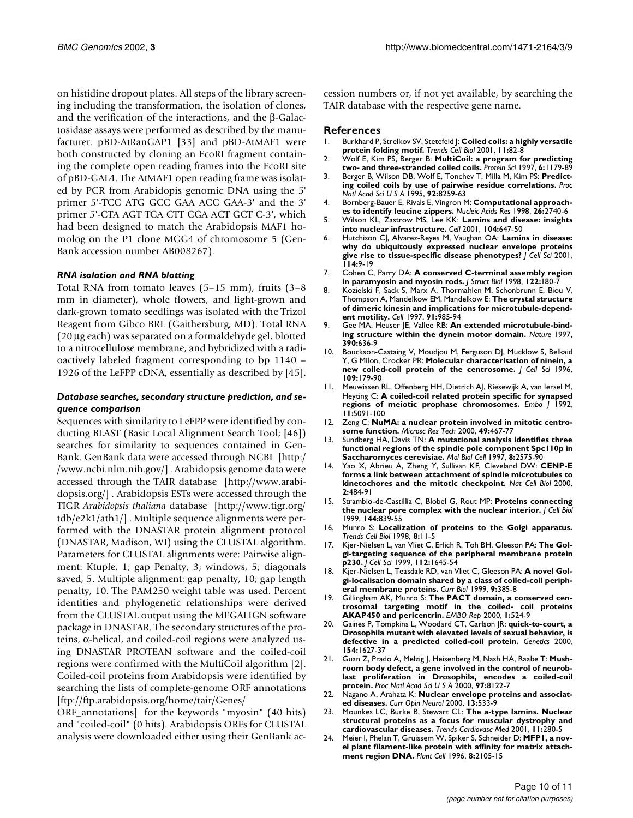on histidine dropout plates. All steps of the library screening including the transformation, the isolation of clones, and the verification of the interactions, and the β-Galactosidase assays were performed as described by the manufacturer. pBD-AtRanGAP1 [33] and pBD-AtMAF1 were both constructed by cloning an EcoRI fragment containing the complete open reading frames into the EcoRI site of pBD-GAL4. The AtMAF1 open reading frame was isolated by PCR from Arabidopis genomic DNA using the 5' primer 5'-TCC ATG GCC GAA ACC GAA-3' and the 3' primer 5'-CTA AGT TCA CTT CGA ACT GCT C-3', which had been designed to match the Arabidopsis MAF1 homolog on the P1 clone MGG4 of chromosome 5 (Gen-Bank accession number AB008267).

## *RNA isolation and RNA blotting*

Total RNA from tomato leaves (5–15 mm), fruits (3–8 mm in diameter), whole flowers, and light-grown and dark-grown tomato seedlings was isolated with the Trizol Reagent from Gibco BRL (Gaithersburg, MD). Total RNA (20 µg each) was separated on a formaldehyde gel, blotted to a nitrocellulose membrane, and hybridized with a radioactively labeled fragment corresponding to bp 1140 – 1926 of the LeFPP cDNA, essentially as described by [45].

# *Database searches, secondary structure prediction, and sequence comparison*

[Sequences with similarity to LeFPP were identified by con](http://www.ncbi.nlm.nih.gov/)ducting BLAST (Basic Local Alignment Search Tool; [46]) searches for similarity to sequences contained in Gen-Bank. GenBank data were accessed through NCBI [http:/ /www.ncbi.nlm.nih.gov/] . Arabidopsis genome data were [accessed through the TAIR database \[](http://www.ncbi.nlm.nih.gov/)[http://www.arabi](http://www.arabidopsis.org/)[dopsis.org/\] . Arabidopsis ESTs were accessed through the](http://www.arabidopsis.org/) [TIGR](http://www.arabidopsis.org/) *Arabidopsis thaliana* [database \[http://www.tigr.org/](http://www.tigr.org/tdb/e2k1/ath1/) tdb/e2k1/ath1/] . Multiple sequence alignments were performed with the DNASTAR protein alignment protocol (DNASTAR, Madison, WI) using the CLUSTAL algorithm. [Parameters for CLUSTAL alignments were: Pairwise align](http://www.tigr.org/tdb/e2k1/ath1/)ment: Ktuple, 1; gap Penalty, 3; windows, 5; diagonals saved, 5. Multiple alignment: gap penalty, 10; gap length penalty, 10. The PAM250 weight table was used. Percent identities and phylogenetic relationships were derived from the CLUSTAL output using the MEGALIGN software package in DNASTAR. The secondary structures of the pro[teins,](http://www.tigr.org/tdb/e2k1/ath1/) α[-helical, and coiled-coil regions were analyzed us](ftp://ftp.arabidopsis.org/home/tair/Genes/ORF_annotations)ing DNASTAR PROTEAN software and the coiled-coil regions were confirmed with the MultiCoil algorithm [2]. Coiled-coil proteins from Arabidopsis were identified by searching the lists of complete-genome ORF annotations [ftp://ftp.arabidopsis.org/home/tair/Genes/

[ORF\\_annotations\] for the keywords "myosin" \(40 hits\)](ftp://ftp.arabidopsis.org/home/tair/Genes/ORF_annotations) and "coiled-coil" (0 hits). Arabidopsis ORFs for CLUSTAL analysis were downloaded either using their GenBank ac-

[cession numbers or, if not yet available, by searching the](ftp://ftp.arabidopsis.org/home/tair/Genes/ORF_annotations) TAIR database with the respective gene name.

# **References**

- 1. [Burkhard P, Strelkov SV, Stetefeld J:](http://www.ncbi.nlm.nih.gov/entrez/query.fcgi?cmd=Retrieve&db=PubMed&dopt=Abstract&list_uids=11166216) **Coiled coils: a highly versatile protein folding motif.** *Trends Cell Biol* 2001, **11:**82-8
- 2. [Wolf E, Kim PS, Berger B:](http://www.ncbi.nlm.nih.gov/entrez/query.fcgi?cmd=Retrieve&db=PubMed&dopt=Abstract&list_uids=9194178) **MultiCoil: a program for predicting two- and three-stranded coiled coils.** *Protein Sci* 1997, **6:**1179-89
- 3. [Berger B, Wilson DB, Wolf E, Tonchev T, Milla M, Kim PS:](http://www.ncbi.nlm.nih.gov/entrez/query.fcgi?cmd=Retrieve&db=PubMed&dopt=Abstract&list_uids=7667278) **Predicting coiled coils by use of pairwise residue correlations.** *Proc Natl Acad Sci U S A* 1995, **92:**8259-63
- 4. [Bornberg-Bauer E, Rivals E, Vingron M:](http://www.ncbi.nlm.nih.gov/entrez/query.fcgi?cmd=Retrieve&db=PubMed&dopt=Abstract&list_uids=9592163) **Computational approaches to identify leucine zippers.** *Nucleic Acids Res* 1998, **26:**2740-6
- 5. [Wilson KL, Zastrow MS, Lee KK:](http://www.ncbi.nlm.nih.gov/entrez/query.fcgi?cmd=Retrieve&db=PubMed&dopt=Abstract&list_uids=11257219) **Lamins and disease: insights into nuclear infrastructure.** *Cell* 2001, **104:**647-50
- 6. [Hutchison CJ, Alvarez-Reyes M, Vaughan OA:](http://www.ncbi.nlm.nih.gov/entrez/query.fcgi?cmd=Retrieve&db=PubMed&dopt=Abstract&list_uids=11112685) **Lamins in disease: why do ubiquitously expressed nuclear envelope proteins give rise to tissue-specific disease phenotypes?** *J Cell Sci* 2001, **114:**9-19
- 7. [Cohen C, Parry DA:](http://www.ncbi.nlm.nih.gov/entrez/query.fcgi?cmd=Retrieve&db=PubMed&dopt=Abstract&list_uids=9724619) **A conserved C-terminal assembly region in paramyosin and myosin rods.** *J Struct Biol* 1998, **122:**180-7
- 8. [Kozielski F, Sack S, Marx A, Thormahlen M, Schonbrunn E, Biou V,](http://www.ncbi.nlm.nih.gov/entrez/query.fcgi?cmd=Retrieve&db=PubMed&dopt=Abstract&list_uids=9428521) [Thompson A, Mandelkow EM, Mandelkow E:](http://www.ncbi.nlm.nih.gov/entrez/query.fcgi?cmd=Retrieve&db=PubMed&dopt=Abstract&list_uids=9428521) **The crystal structure of dimeric kinesin and implications for microtubule-dependent motility.** *Cell* 1997, **91:**985-94
- 9. [Gee MA, Heuser JE, Vallee RB:](http://www.ncbi.nlm.nih.gov/entrez/query.fcgi?cmd=Retrieve&db=PubMed&dopt=Abstract&list_uids=9403697) **An extended microtubule-binding structure within the dynein motor domain.** *Nature* 1997, **390:**636-9
- 10. [Bouckson-Castaing V, Moudjou M, Ferguson DJ, Mucklow S, Belkaid](http://www.ncbi.nlm.nih.gov/entrez/query.fcgi?cmd=Retrieve&db=PubMed&dopt=Abstract&list_uids=8834802) [Y, G Milon, Crocker PR:](http://www.ncbi.nlm.nih.gov/entrez/query.fcgi?cmd=Retrieve&db=PubMed&dopt=Abstract&list_uids=8834802) **Molecular characterisation of ninein, a new coiled-coil protein of the centrosome.** *J Cell Sci* 1996, **109:**179-90
- 11. [Meuwissen RL, Offenberg HH, Dietrich AJ, Riesewijk A, van Iersel M,](http://www.ncbi.nlm.nih.gov/entrez/query.fcgi?cmd=Retrieve&db=PubMed&dopt=Abstract&list_uids=1464329) [Heyting C:](http://www.ncbi.nlm.nih.gov/entrez/query.fcgi?cmd=Retrieve&db=PubMed&dopt=Abstract&list_uids=1464329) **A coiled-coil related protein specific for synapsed regions of meiotic prophase chromosomes.** *Embo J* 1992, **11:**5091-100
- 12. [Zeng C:](http://www.ncbi.nlm.nih.gov/entrez/query.fcgi?cmd=Retrieve&db=PubMed&dopt=Abstract&list_uids=10842374) **NuMA: a nuclear protein involved in mitotic centrosome function.** *Microsc Res Tech* 2000, **49:**467-77
- 13. [Sundberg HA, Davis TN:](http://www.ncbi.nlm.nih.gov/entrez/query.fcgi?cmd=Retrieve&db=PubMed&dopt=Abstract&list_uids=9398677) **A mutational analysis identifies three functional regions of the spindle pole component Spc110p in Saccharomyces cerevisiae.** *Mol Biol Cell* 1997, **8:**2575-90
- 14. [Yao X, Abrieu A, Zheng Y, Sullivan KF, Cleveland DW:](http://www.ncbi.nlm.nih.gov/entrez/query.fcgi?cmd=Retrieve&db=PubMed&dopt=Abstract&list_uids=10934468) **CENP-E forms a link between attachment of spindle microtubules to kinetochores and the mitotic checkpoint.** *Nat Cell Biol* 2000, **2:**484-91
- 15. [Strambio-de-Castillia C, Blobel G, Rout MP:](http://www.ncbi.nlm.nih.gov/entrez/query.fcgi?cmd=Retrieve&db=PubMed&dopt=Abstract&list_uids=10085285) **Proteins connecting the nuclear pore complex with the nuclear interior.** *J Cell Biol* 1999, **144:**839-55
- 16. [Munro S:](http://www.ncbi.nlm.nih.gov/entrez/query.fcgi?cmd=Retrieve&db=PubMed&dopt=Abstract&list_uids=9695801) **Localization of proteins to the Golgi apparatus.** *Trends Cell Biol* 1998, **8:**11-5
- 17. [Kjer-Nielsen L, van Vliet C, Erlich R, Toh BH, Gleeson PA:](http://www.ncbi.nlm.nih.gov/entrez/query.fcgi?cmd=Retrieve&db=PubMed&dopt=Abstract&list_uids=10318758) **The Golgi-targeting sequence of the peripheral membrane protein p230.** *J Cell Sci* 1999, **112:**1645-54
- 18. [Kjer-Nielsen L, Teasdale RD, van Vliet C, Gleeson PA:](http://www.ncbi.nlm.nih.gov/entrez/query.fcgi?cmd=Retrieve&db=PubMed&dopt=Abstract&list_uids=10209125) **A novel Golgi-localisation domain shared by a class of coiled-coil peripheral membrane proteins.** *Curr Biol* 1999, **9:**385-8
- 19. [Gillingham AK, Munro S:](http://www.ncbi.nlm.nih.gov/entrez/query.fcgi?cmd=Retrieve&db=PubMed&dopt=Abstract&list_uids=11263498) **The PACT domain, a conserved centrosomal targeting motif in the coiled- coil proteins AKAP450 and pericentrin.** *EMBO Rep* 2000, **1:**524-9
- 20. [Gaines P, Tompkins L, Woodard CT, Carlson JR:](http://www.ncbi.nlm.nih.gov/entrez/query.fcgi?cmd=Retrieve&db=PubMed&dopt=Abstract&list_uids=10747058) **quick-to-court, a Drosophila mutant with elevated levels of sexual behavior, is defective in a predicted coiled-coil protein.** *Genetics* 2000, **154:**1627-37
- 21. [Guan Z, Prado A, Melzig J, Heisenberg M, Nash HA, Raabe T:](http://www.ncbi.nlm.nih.gov/entrez/query.fcgi?cmd=Retrieve&db=PubMed&dopt=Abstract&list_uids=10884435) **Mushroom body defect, a gene involved in the control of neuroblast proliferation in Drosophila, encodes a coiled-coil protein.** *Proc Natl Acad Sci U S A* 2000, **97:**8122-7
- 22. [Nagano A, Arahata K:](http://www.ncbi.nlm.nih.gov/entrez/query.fcgi?cmd=Retrieve&db=PubMed&dopt=Abstract&list_uids=11073359) **Nuclear envelope proteins and associated diseases.** *Curr Opin Neurol* 2000, **13:**533-9
- 23. [Mounkes LC, Burke B, Stewart CL:](http://www.ncbi.nlm.nih.gov/entrez/query.fcgi?cmd=Retrieve&db=PubMed&dopt=Abstract&list_uids=11709282) **The a-type lamins. Nuclear structural proteins as a focus for muscular dystrophy and cardiovascular diseases.** *Trends Cardiovasc Med* 2001, **11:**280-5
- 24. [Meier I, Phelan T, Gruissem W, Spiker S, Schneider D:](http://www.ncbi.nlm.nih.gov/entrez/query.fcgi?cmd=Retrieve&db=PubMed&dopt=Abstract&list_uids=8953774) **MFP1, a novel plant filament-like protein with affinity for matrix attachment region DNA.** *Plant Cell* 1996, **8:**2105-15